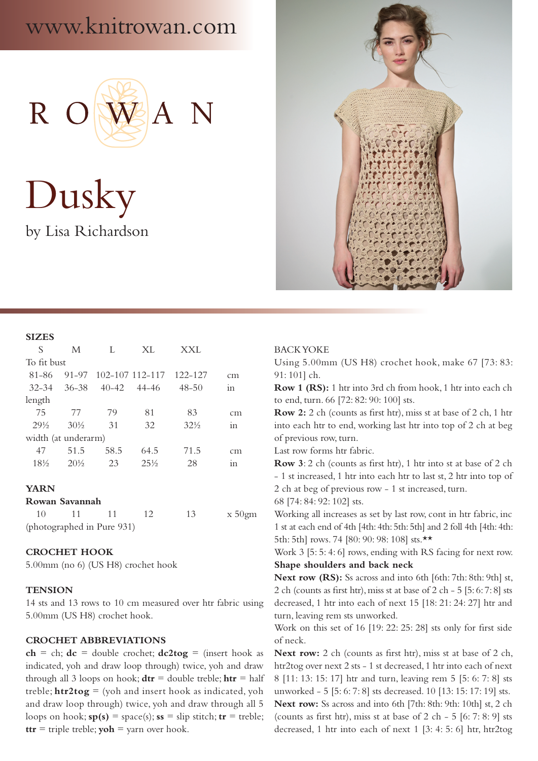# www.knitrowan.com



Dusky by Lisa Richardson



#### **SIZES**

| S                   | M               | L         | XL              | XXL             |                |  |  |  |
|---------------------|-----------------|-----------|-----------------|-----------------|----------------|--|--|--|
| To fit bust         |                 |           |                 |                 |                |  |  |  |
| 81-86               | 91-97           |           | 102-107 112-117 | 122-127         | cm             |  |  |  |
| $32 - 34$           | 36-38           | $40 - 42$ | - 44–46         | $48 - 50$       | 1 <sub>n</sub> |  |  |  |
| length              |                 |           |                 |                 |                |  |  |  |
| 75                  | 77              | 79        | 81              | 83              | cm             |  |  |  |
| $29\frac{1}{2}$     | $30\frac{1}{2}$ | 31        | 32              | $32\frac{1}{2}$ | 111            |  |  |  |
| width (at underarm) |                 |           |                 |                 |                |  |  |  |
| 47                  | 51.5            | 58.5      | 64.5            | 71.5            | cm             |  |  |  |
| $18\%$              | $20\%$          | 23        | $2.5\%$         | 28              | 1n             |  |  |  |

## **YARN**

#### **Rowan Savannah**

| 10 | $-11$                      |  | $x\,50$ gm |
|----|----------------------------|--|------------|
|    | (photographed in Pure 931) |  |            |

## **CROCHET HOOK**

5.00mm (no 6) (US H8) crochet hook

## **TENSION**

14 sts and 13 rows to 10 cm measured over htr fabric using 5.00mm (US H8) crochet hook.

## **CROCHET ABBREVIATIONS**

 $ch = ch$ ;  $dc = double crochet$ ;  $dc2tog = (insert hook as)$ indicated, yoh and draw loop through) twice, yoh and draw through all 3 loops on hook;  $\mathbf{d} \mathbf{tr} =$  double treble;  $\mathbf{h} \mathbf{tr} =$  half treble;  $\text{htr2tog} =$  (yoh and insert hook as indicated, yoh and draw loop through) twice, yoh and draw through all 5 loops on hook;  $sp(s) = space(s)$ ;  $ss = slip$  stitch;  $tr = treble$ ;  $\mathbf{t} \mathbf{t} \mathbf{r} = \text{triple treble}; \mathbf{yoh} = \text{yarn over hook}.$ 

#### BACK YOKE

Using 5.00mm (US H8) crochet hook, make 67 [73: 83: 91: 101] ch.

**Row 1 (RS):** 1 htr into 3rd ch from hook, 1 htr into each ch to end, turn. 66 [72: 82: 90: 100] sts.

**Row 2:** 2 ch (counts as first htr), miss st at base of 2 ch, 1 htr into each htr to end, working last htr into top of 2 ch at beg of previous row, turn.

Last row forms htr fabric.

**Row 3**: 2 ch (counts as first htr), 1 htr into st at base of 2 ch - 1 st increased, 1 htr into each htr to last st, 2 htr into top of 2 ch at beg of previous row - 1 st increased, turn. 68 [74: 84: 92: 102] sts.

Working all increases as set by last row, cont in htr fabric, inc 1 st at each end of 4th [4th: 4th: 5th: 5th] and 2 foll 4th [4th: 4th: 5th: 5th] rows. 74 [80: 90: 98: 108] sts.\*\*

Work 3 [5: 5: 4: 6] rows, ending with RS facing for next row. **Shape shoulders and back neck**

**Next row (RS):** Ss across and into 6th [6th: 7th: 8th: 9th] st, 2 ch (counts as first htr), miss st at base of 2 ch - 5 [5: 6: 7: 8] sts decreased, 1 htr into each of next 15 [18: 21: 24: 27] htr and turn, leaving rem sts unworked.

Work on this set of 16 [19: 22: 25: 28] sts only for first side of neck.

**Next row:** 2 ch (counts as first htr), miss st at base of 2 ch, htr2tog over next 2 sts - 1 st decreased, 1 htr into each of next 8 [11: 13: 15: 17] htr and turn, leaving rem 5 [5: 6: 7: 8] sts unworked - 5 [5: 6: 7: 8] sts decreased. 10 [13: 15: 17: 19] sts. **Next row:** Ss across and into 6th [7th: 8th: 9th: 10th] st, 2 ch (counts as first htr), miss st at base of  $2$  ch -  $5$  [6: 7: 8: 9] sts decreased, 1 htr into each of next 1 [3: 4: 5: 6] htr, htr2tog